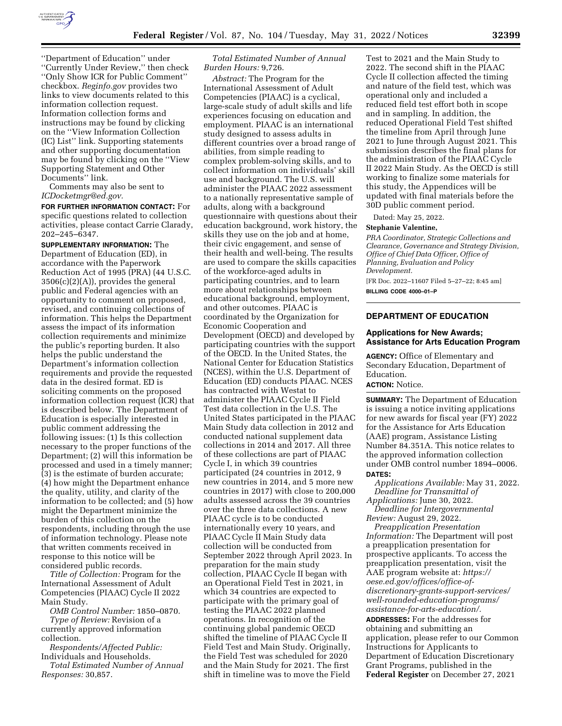

''Department of Education'' under ''Currently Under Review,'' then check ''Only Show ICR for Public Comment'' checkbox. *Reginfo.gov* provides two links to view documents related to this information collection request. Information collection forms and instructions may be found by clicking on the ''View Information Collection (IC) List'' link. Supporting statements and other supporting documentation may be found by clicking on the ''View Supporting Statement and Other Documents'' link.

Comments may also be sent to *[ICDocketmgr@ed.gov.](mailto:ICDocketmgr@ed.gov)* 

**FOR FURTHER INFORMATION CONTACT:** For specific questions related to collection activities, please contact Carrie Clarady, 202–245–6347.

**SUPPLEMENTARY INFORMATION:** The Department of Education (ED), in accordance with the Paperwork Reduction Act of 1995 (PRA) (44 U.S.C. 3506(c)(2)(A)), provides the general public and Federal agencies with an opportunity to comment on proposed, revised, and continuing collections of information. This helps the Department assess the impact of its information collection requirements and minimize the public's reporting burden. It also helps the public understand the Department's information collection requirements and provide the requested data in the desired format. ED is soliciting comments on the proposed information collection request (ICR) that is described below. The Department of Education is especially interested in public comment addressing the following issues: (1) Is this collection necessary to the proper functions of the Department; (2) will this information be processed and used in a timely manner; (3) is the estimate of burden accurate; (4) how might the Department enhance the quality, utility, and clarity of the information to be collected; and (5) how might the Department minimize the burden of this collection on the respondents, including through the use of information technology. Please note that written comments received in response to this notice will be considered public records.

*Title of Collection:* Program for the International Assessment of Adult Competencies (PIAAC) Cycle II 2022 Main Study.

*OMB Control Number:* 1850–0870. *Type of Review:* Revision of a

currently approved information collection.

*Respondents/Affected Public:*  Individuals and Households.

*Total Estimated Number of Annual Responses:* 30,857.

*Total Estimated Number of Annual Burden Hours:* 9,726.

*Abstract:* The Program for the International Assessment of Adult Competencies (PIAAC) is a cyclical, large-scale study of adult skills and life experiences focusing on education and employment. PIAAC is an international study designed to assess adults in different countries over a broad range of abilities, from simple reading to complex problem-solving skills, and to collect information on individuals' skill use and background. The U.S. will administer the PIAAC 2022 assessment to a nationally representative sample of adults, along with a background questionnaire with questions about their education background, work history, the skills they use on the job and at home, their civic engagement, and sense of their health and well-being. The results are used to compare the skills capacities of the workforce-aged adults in participating countries, and to learn more about relationships between educational background, employment, and other outcomes. PIAAC is coordinated by the Organization for Economic Cooperation and Development (OECD) and developed by participating countries with the support of the OECD. In the United States, the National Center for Education Statistics (NCES), within the U.S. Department of Education (ED) conducts PIAAC. NCES has contracted with Westat to administer the PIAAC Cycle II Field Test data collection in the U.S. The United States participated in the PIAAC Main Study data collection in 2012 and conducted national supplement data collections in 2014 and 2017. All three of these collections are part of PIAAC Cycle I, in which 39 countries participated (24 countries in 2012, 9 new countries in 2014, and 5 more new countries in 2017) with close to 200,000 adults assessed across the 39 countries over the three data collections. A new PIAAC cycle is to be conducted internationally every 10 years, and PIAAC Cycle II Main Study data collection will be conducted from September 2022 through April 2023. In preparation for the main study collection, PIAAC Cycle II began with an Operational Field Test in 2021, in which 34 countries are expected to participate with the primary goal of testing the PIAAC 2022 planned operations. In recognition of the continuing global pandemic OECD shifted the timeline of PIAAC Cycle II Field Test and Main Study. Originally, the Field Test was scheduled for 2020 and the Main Study for 2021. The first shift in timeline was to move the Field

Test to 2021 and the Main Study to 2022. The second shift in the PIAAC Cycle II collection affected the timing and nature of the field test, which was operational only and included a reduced field test effort both in scope and in sampling. In addition, the reduced Operational Field Test shifted the timeline from April through June 2021 to June through August 2021. This submission describes the final plans for the administration of the PIAAC Cycle II 2022 Main Study. As the OECD is still working to finalize some materials for this study, the Appendices will be updated with final materials before the 30D public comment period.

Dated: May 25, 2022.

# **Stephanie Valentine,**

*PRA Coordinator, Strategic Collections and Clearance, Governance and Strategy Division, Office of Chief Data Officer, Office of Planning, Evaluation and Policy Development.*  [FR Doc. 2022–11607 Filed 5–27–22; 8:45 am] **BILLING CODE 4000–01–P** 

# **DEPARTMENT OF EDUCATION**

# **Applications for New Awards; Assistance for Arts Education Program**

**AGENCY:** Office of Elementary and Secondary Education, Department of Education.

#### **ACTION:** Notice.

**SUMMARY:** The Department of Education is issuing a notice inviting applications for new awards for fiscal year (FY) 2022 for the Assistance for Arts Education (AAE) program, Assistance Listing Number 84.351A. This notice relates to the approved information collection under OMB control number 1894–0006. **DATES:** 

*Applications Available:* May 31, 2022. *Deadline for Transmittal of Applications:* June 30, 2022.

*Deadline for Intergovernmental Review:* August 29, 2022.

*Preapplication Presentation Information:* The Department will post a preapplication presentation for prospective applicants. To access the preapplication presentation, visit the AAE program website at: *[https://](https://oese.ed.gov/offices/office-of-discretionary-grants-support-services/well-rounded-education-programs/assistance-for-arts-education/) [oese.ed.gov/offices/office-of](https://oese.ed.gov/offices/office-of-discretionary-grants-support-services/well-rounded-education-programs/assistance-for-arts-education/)[discretionary-grants-support-services/](https://oese.ed.gov/offices/office-of-discretionary-grants-support-services/well-rounded-education-programs/assistance-for-arts-education/)  [well-rounded-education-programs/](https://oese.ed.gov/offices/office-of-discretionary-grants-support-services/well-rounded-education-programs/assistance-for-arts-education/)  [assistance-for-arts-education/.](https://oese.ed.gov/offices/office-of-discretionary-grants-support-services/well-rounded-education-programs/assistance-for-arts-education/)* 

**ADDRESSES:** For the addresses for obtaining and submitting an application, please refer to our Common Instructions for Applicants to Department of Education Discretionary Grant Programs, published in the **Federal Register** on December 27, 2021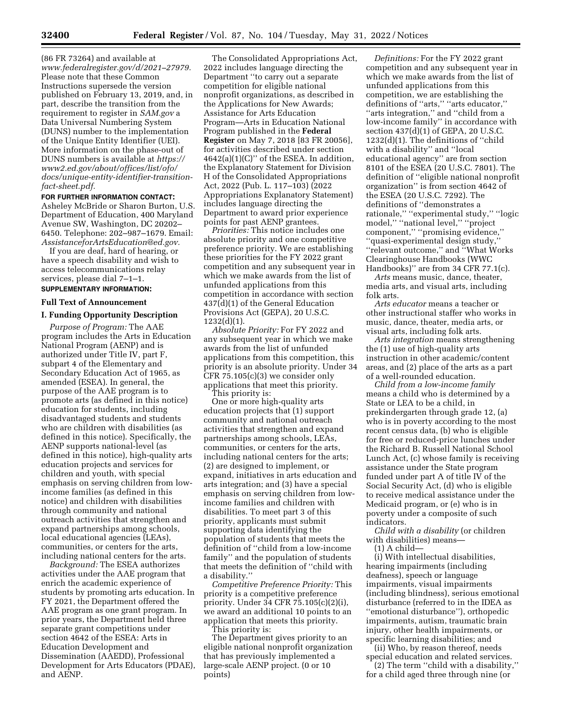(86 FR 73264) and available at *[www.federalregister.gov/d/2021–27979.](http://www.federalregister.gov/d/2021-27979)*  Please note that these Common Instructions supersede the version published on February 13, 2019, and, in part, describe the transition from the requirement to register in *SAM.gov* a Data Universal Numbering System (DUNS) number to the implementation of the Unique Entity Identifier (UEI). More information on the phase-out of DUNS numbers is available at *[https://](https://www2.ed.gov/about/offices/list/ofo/docs/unique-entity-identifier-transition-fact-sheet.pdf) [www2.ed.gov/about/offices/list/ofo/](https://www2.ed.gov/about/offices/list/ofo/docs/unique-entity-identifier-transition-fact-sheet.pdf) [docs/unique-entity-identifier-transition](https://www2.ed.gov/about/offices/list/ofo/docs/unique-entity-identifier-transition-fact-sheet.pdf)[fact-sheet.pdf.](https://www2.ed.gov/about/offices/list/ofo/docs/unique-entity-identifier-transition-fact-sheet.pdf)* 

# **FOR FURTHER INFORMATION CONTACT:**  Asheley McBride or Sharon Burton, U.S.

Department of Education, 400 Maryland Avenue SW, Washington, DC 20202– 6450. Telephone: 202–987–1679. Email: *[AssistanceforArtsEducation@ed.gov.](mailto:AssistanceforArtsEducation@ed.gov)* 

If you are deaf, hard of hearing, or have a speech disability and wish to access telecommunications relay services, please dial 7–1–1. **SUPPLEMENTARY INFORMATION:** 

# **Full Text of Announcement**

# **I. Funding Opportunity Description**

*Purpose of Program:* The AAE program includes the Arts in Education National Program (AENP) and is authorized under Title IV, part F, subpart 4 of the Elementary and Secondary Education Act of 1965, as amended (ESEA). In general, the purpose of the AAE program is to promote arts (as defined in this notice) education for students, including disadvantaged students and students who are children with disabilities (as defined in this notice). Specifically, the AENP supports national-level (as defined in this notice), high-quality arts education projects and services for children and youth, with special emphasis on serving children from lowincome families (as defined in this notice) and children with disabilities through community and national outreach activities that strengthen and expand partnerships among schools, local educational agencies (LEAs), communities, or centers for the arts, including national centers for the arts.

*Background:* The ESEA authorizes activities under the AAE program that enrich the academic experience of students by promoting arts education. In FY 2021, the Department offered the AAE program as one grant program. In prior years, the Department held three separate grant competitions under section 4642 of the ESEA: Arts in Education Development and Dissemination (AAEDD), Professional Development for Arts Educators (PDAE), and AENP.

The Consolidated Appropriations Act, 2022 includes language directing the Department ''to carry out a separate competition for eligible national nonprofit organizations, as described in the Applications for New Awards; Assistance for Arts Education Program—Arts in Education National Program published in the **Federal Register** on May 7, 2018 [83 FR 20056], for activities described under section 4642(a)(1)(C)'' of the ESEA. In addition, the Explanatory Statement for Division H of the Consolidated Appropriations Act, 2022 (Pub. L. 117–103) (2022 Appropriations Explanatory Statement) includes language directing the Department to award prior experience points for past AENP grantees.

*Priorities:* This notice includes one absolute priority and one competitive preference priority. We are establishing these priorities for the FY 2022 grant competition and any subsequent year in which we make awards from the list of unfunded applications from this competition in accordance with section 437(d)(1) of the General Education Provisions Act (GEPA), 20 U.S.C. 1232(d)(1).

*Absolute Priority:* For FY 2022 and any subsequent year in which we make awards from the list of unfunded applications from this competition, this priority is an absolute priority. Under 34 CFR 75.105(c)(3) we consider only applications that meet this priority. This priority is:

One or more high-quality arts education projects that (1) support community and national outreach activities that strengthen and expand partnerships among schools, LEAs, communities, or centers for the arts, including national centers for the arts; (2) are designed to implement, or expand, initiatives in arts education and arts integration; and (3) have a special emphasis on serving children from lowincome families and children with disabilities. To meet part 3 of this priority, applicants must submit supporting data identifying the population of students that meets the definition of ''child from a low-income family'' and the population of students that meets the definition of ''child with a disability.''

*Competitive Preference Priority:* This priority is a competitive preference priority. Under 34 CFR 75.105(c)(2)(i), we award an additional 10 points to an application that meets this priority.

This priority is:

The Department gives priority to an eligible national nonprofit organization that has previously implemented a large-scale AENP project. (0 or 10 points)

*Definitions:* For the FY 2022 grant competition and any subsequent year in which we make awards from the list of unfunded applications from this competition, we are establishing the definitions of ''arts,'' ''arts educator,'' ''arts integration,'' and ''child from a low-income family'' in accordance with section 437(d)(1) of GEPA, 20 U.S.C. 1232(d)(1). The definitions of ''child with a disability'' and ''local educational agency'' are from section 8101 of the ESEA (20 U.S.C. 7801). The definition of ''eligible national nonprofit organization'' is from section 4642 of the ESEA (20 U.S.C. 7292). The definitions of ''demonstrates a rationale,'' ''experimental study,'' ''logic model,'' ''national level,'' ''project component,'' ''promising evidence,'' ''quasi-experimental design study,'' ''relevant outcome,'' and ''What Works Clearinghouse Handbooks (WWC Handbooks)'' are from 34 CFR 77.1(c).

*Arts* means music, dance, theater, media arts, and visual arts, including folk arts.

*Arts educator* means a teacher or other instructional staffer who works in music, dance, theater, media arts, or visual arts, including folk arts.

*Arts integration* means strengthening the (1) use of high-quality arts instruction in other academic/content areas, and (2) place of the arts as a part of a well-rounded education.

*Child from a low-income family*  means a child who is determined by a State or LEA to be a child, in prekindergarten through grade 12, (a) who is in poverty according to the most recent census data, (b) who is eligible for free or reduced-price lunches under the Richard B. Russell National School Lunch Act, (c) whose family is receiving assistance under the State program funded under part A of title IV of the Social Security Act, (d) who is eligible to receive medical assistance under the Medicaid program, or (e) who is in poverty under a composite of such indicators.

*Child with a disability* (or children with disabilities) means—

(1) A child—

(i) With intellectual disabilities, hearing impairments (including deafness), speech or language impairments, visual impairments (including blindness), serious emotional disturbance (referred to in the IDEA as ''emotional disturbance''), orthopedic impairments, autism, traumatic brain injury, other health impairments, or specific learning disabilities; and

(ii) Who, by reason thereof, needs special education and related services.

(2) The term ''child with a disability,'' for a child aged three through nine (or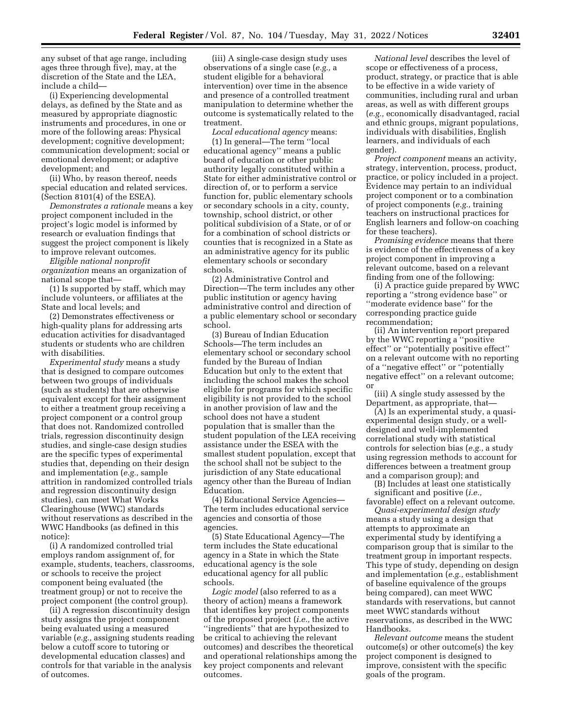any subset of that age range, including ages three through five), may, at the discretion of the State and the LEA, include a child—

(i) Experiencing developmental delays, as defined by the State and as measured by appropriate diagnostic instruments and procedures, in one or more of the following areas: Physical development; cognitive development; communication development; social or emotional development; or adaptive development; and

(ii) Who, by reason thereof, needs special education and related services. (Section 8101(4) of the ESEA).

*Demonstrates a rationale* means a key project component included in the project's logic model is informed by research or evaluation findings that suggest the project component is likely to improve relevant outcomes.

*Eligible national nonprofit organization* means an organization of national scope that—

(1) Is supported by staff, which may include volunteers, or affiliates at the State and local levels; and

(2) Demonstrates effectiveness or high-quality plans for addressing arts education activities for disadvantaged students or students who are children with disabilities.

*Experimental study* means a study that is designed to compare outcomes between two groups of individuals (such as students) that are otherwise equivalent except for their assignment to either a treatment group receiving a project component or a control group that does not. Randomized controlled trials, regression discontinuity design studies, and single-case design studies are the specific types of experimental studies that, depending on their design and implementation (*e.g.,* sample attrition in randomized controlled trials and regression discontinuity design studies), can meet What Works Clearinghouse (WWC) standards without reservations as described in the WWC Handbooks (as defined in this notice):

(i) A randomized controlled trial employs random assignment of, for example, students, teachers, classrooms, or schools to receive the project component being evaluated (the treatment group) or not to receive the project component (the control group).

(ii) A regression discontinuity design study assigns the project component being evaluated using a measured variable (*e.g.,* assigning students reading below a cutoff score to tutoring or developmental education classes) and controls for that variable in the analysis of outcomes.

(iii) A single-case design study uses observations of a single case (*e.g.,* a student eligible for a behavioral intervention) over time in the absence and presence of a controlled treatment manipulation to determine whether the outcome is systematically related to the treatment.

*Local educational agency* means: (1) In general—The term ''local educational agency'' means a public board of education or other public authority legally constituted within a State for either administrative control or direction of, or to perform a service function for, public elementary schools or secondary schools in a city, county, township, school district, or other political subdivision of a State, or of or for a combination of school districts or counties that is recognized in a State as an administrative agency for its public elementary schools or secondary schools.

(2) Administrative Control and Direction—The term includes any other public institution or agency having administrative control and direction of a public elementary school or secondary school.

(3) Bureau of Indian Education Schools—The term includes an elementary school or secondary school funded by the Bureau of Indian Education but only to the extent that including the school makes the school eligible for programs for which specific eligibility is not provided to the school in another provision of law and the school does not have a student population that is smaller than the student population of the LEA receiving assistance under the ESEA with the smallest student population, except that the school shall not be subject to the jurisdiction of any State educational agency other than the Bureau of Indian Education.

(4) Educational Service Agencies— The term includes educational service agencies and consortia of those agencies.

(5) State Educational Agency—The term includes the State educational agency in a State in which the State educational agency is the sole educational agency for all public schools.

*Logic model* (also referred to as a theory of action) means a framework that identifies key project components of the proposed project (*i.e.,* the active ''ingredients'' that are hypothesized to be critical to achieving the relevant outcomes) and describes the theoretical and operational relationships among the key project components and relevant outcomes.

*National level* describes the level of scope or effectiveness of a process, product, strategy, or practice that is able to be effective in a wide variety of communities, including rural and urban areas, as well as with different groups (*e.g.,* economically disadvantaged, racial and ethnic groups, migrant populations, individuals with disabilities, English learners, and individuals of each gender).

*Project component* means an activity, strategy, intervention, process, product, practice, or policy included in a project. Evidence may pertain to an individual project component or to a combination of project components (*e.g.,* training teachers on instructional practices for English learners and follow-on coaching for these teachers).

*Promising evidence* means that there is evidence of the effectiveness of a key project component in improving a relevant outcome, based on a relevant finding from one of the following:

(i) A practice guide prepared by WWC reporting a ''strong evidence base'' or ''moderate evidence base'' for the corresponding practice guide recommendation;

(ii) An intervention report prepared by the WWC reporting a ''positive effect'' or ''potentially positive effect'' on a relevant outcome with no reporting of a ''negative effect'' or ''potentially negative effect'' on a relevant outcome; or

(iii) A single study assessed by the Department, as appropriate, that—

(A) Is an experimental study, a quasiexperimental design study, or a welldesigned and well-implemented correlational study with statistical controls for selection bias (*e.g.,* a study using regression methods to account for differences between a treatment group and a comparison group); and

(B) Includes at least one statistically significant and positive (*i.e.,* 

favorable) effect on a relevant outcome. *Quasi-experimental design study* 

means a study using a design that attempts to approximate an experimental study by identifying a comparison group that is similar to the treatment group in important respects. This type of study, depending on design and implementation (*e.g.,* establishment of baseline equivalence of the groups being compared), can meet WWC standards with reservations, but cannot meet WWC standards without reservations, as described in the WWC Handbooks.

*Relevant outcome* means the student outcome(s) or other outcome(s) the key project component is designed to improve, consistent with the specific goals of the program.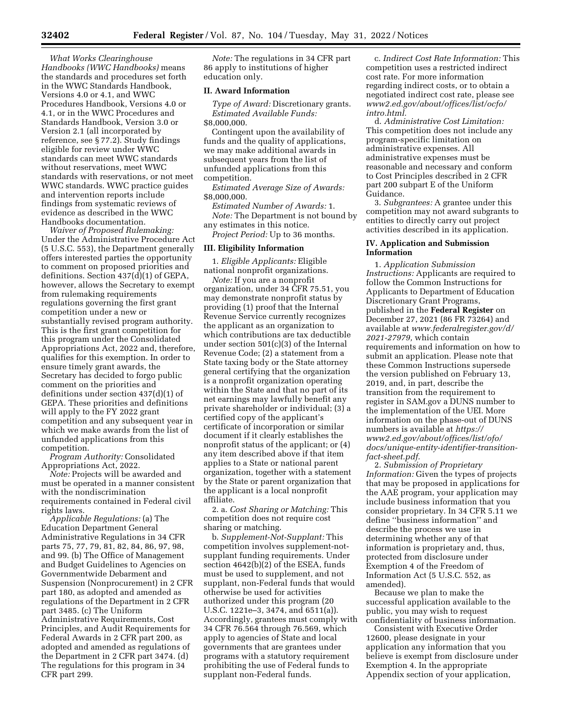*What Works Clearinghouse Handbooks (WWC Handbooks)* means the standards and procedures set forth in the WWC Standards Handbook, Versions 4.0 or 4.1, and WWC Procedures Handbook, Versions 4.0 or 4.1, or in the WWC Procedures and Standards Handbook, Version 3.0 or Version 2.1 (all incorporated by reference, see § 77.2). Study findings eligible for review under WWC standards can meet WWC standards without reservations, meet WWC standards with reservations, or not meet WWC standards. WWC practice guides and intervention reports include findings from systematic reviews of evidence as described in the WWC Handbooks documentation.

*Waiver of Proposed Rulemaking:*  Under the Administrative Procedure Act (5 U.S.C. 553), the Department generally offers interested parties the opportunity to comment on proposed priorities and definitions. Section 437(d)(1) of GEPA, however, allows the Secretary to exempt from rulemaking requirements regulations governing the first grant competition under a new or substantially revised program authority. This is the first grant competition for this program under the Consolidated Appropriations Act, 2022 and, therefore, qualifies for this exemption. In order to ensure timely grant awards, the Secretary has decided to forgo public comment on the priorities and definitions under section 437(d)(1) of GEPA. These priorities and definitions will apply to the FY 2022 grant competition and any subsequent year in which we make awards from the list of unfunded applications from this competition.

*Program Authority:* Consolidated Appropriations Act, 2022.

*Note:* Projects will be awarded and must be operated in a manner consistent with the nondiscrimination requirements contained in Federal civil rights laws.

*Applicable Regulations:* (a) The Education Department General Administrative Regulations in 34 CFR parts 75, 77, 79, 81, 82, 84, 86, 97, 98, and 99. (b) The Office of Management and Budget Guidelines to Agencies on Governmentwide Debarment and Suspension (Nonprocurement) in 2 CFR part 180, as adopted and amended as regulations of the Department in 2 CFR part 3485. (c) The Uniform Administrative Requirements, Cost Principles, and Audit Requirements for Federal Awards in 2 CFR part 200, as adopted and amended as regulations of the Department in 2 CFR part 3474. (d) The regulations for this program in 34 CFR part 299.

*Note:* The regulations in 34 CFR part 86 apply to institutions of higher education only.

### **II. Award Information**

*Type of Award:* Discretionary grants. *Estimated Available Funds:*  \$8,000,000.

Contingent upon the availability of funds and the quality of applications, we may make additional awards in subsequent years from the list of unfunded applications from this competition.

*Estimated Average Size of Awards:*  \$8,000,000.

*Estimated Number of Awards:* 1. *Note:* The Department is not bound by any estimates in this notice.

*Project Period:* Up to 36 months.

#### **III. Eligibility Information**

1. *Eligible Applicants:* Eligible national nonprofit organizations.

*Note:* If you are a nonprofit organization, under 34 CFR 75.51, you may demonstrate nonprofit status by providing (1) proof that the Internal Revenue Service currently recognizes the applicant as an organization to which contributions are tax deductible under section 501(c)(3) of the Internal Revenue Code; (2) a statement from a State taxing body or the State attorney general certifying that the organization is a nonprofit organization operating within the State and that no part of its net earnings may lawfully benefit any private shareholder or individual; (3) a certified copy of the applicant's certificate of incorporation or similar document if it clearly establishes the nonprofit status of the applicant; or (4) any item described above if that item applies to a State or national parent organization, together with a statement by the State or parent organization that the applicant is a local nonprofit affiliate.

2. a. *Cost Sharing or Matching:* This competition does not require cost sharing or matching.

b. *Supplement-Not-Supplant:* This competition involves supplement-notsupplant funding requirements. Under section 4642(b)(2) of the ESEA, funds must be used to supplement, and not supplant, non-Federal funds that would otherwise be used for activities authorized under this program (20 U.S.C. 1221e–3, 3474, and 6511(a)). Accordingly, grantees must comply with 34 CFR 76.564 through 76.569, which apply to agencies of State and local governments that are grantees under programs with a statutory requirement prohibiting the use of Federal funds to supplant non-Federal funds.

c. *Indirect Cost Rate Information:* This competition uses a restricted indirect cost rate. For more information regarding indirect costs, or to obtain a negotiated indirect cost rate, please see *[www2.ed.gov/about/offices/list/ocfo/](http://www2.ed.gov/about/offices/list/ocfo/intro.html)  [intro.html.](http://www2.ed.gov/about/offices/list/ocfo/intro.html)* 

d. *Administrative Cost Limitation:*  This competition does not include any program-specific limitation on administrative expenses. All administrative expenses must be reasonable and necessary and conform to Cost Principles described in 2 CFR part 200 subpart E of the Uniform Guidance.

3. *Subgrantees:* A grantee under this competition may not award subgrants to entities to directly carry out project activities described in its application.

#### **IV. Application and Submission Information**

1. *Application Submission Instructions:* Applicants are required to follow the Common Instructions for Applicants to Department of Education Discretionary Grant Programs, published in the **Federal Register** on December 27, 2021 (86 FR 73264) and available at *[www.federalregister.gov/d/](http://www.federalregister.gov/d/2021-27979)  [2021-27979,](http://www.federalregister.gov/d/2021-27979)* which contain requirements and information on how to submit an application. Please note that these Common Instructions supersede the version published on February 13, 2019, and, in part, describe the transition from the requirement to register in SAM.gov a DUNS number to the implementation of the UEI. More information on the phase-out of DUNS numbers is available at *[https://](https://www2.ed.gov/about/offices/list/ofo/docs/unique-entity-identifier-transition-fact-sheet.pdf) [www2.ed.gov/about/offices/list/ofo/](https://www2.ed.gov/about/offices/list/ofo/docs/unique-entity-identifier-transition-fact-sheet.pdf) [docs/unique-entity-identifier-transition](https://www2.ed.gov/about/offices/list/ofo/docs/unique-entity-identifier-transition-fact-sheet.pdf)[fact-sheet.pdf.](https://www2.ed.gov/about/offices/list/ofo/docs/unique-entity-identifier-transition-fact-sheet.pdf)* 

2. *Submission of Proprietary Information:* Given the types of projects that may be proposed in applications for the AAE program, your application may include business information that you consider proprietary. In 34 CFR 5.11 we define ''business information'' and describe the process we use in determining whether any of that information is proprietary and, thus, protected from disclosure under Exemption 4 of the Freedom of Information Act (5 U.S.C. 552, as amended).

Because we plan to make the successful application available to the public, you may wish to request confidentiality of business information.

Consistent with Executive Order 12600, please designate in your application any information that you believe is exempt from disclosure under Exemption 4. In the appropriate Appendix section of your application,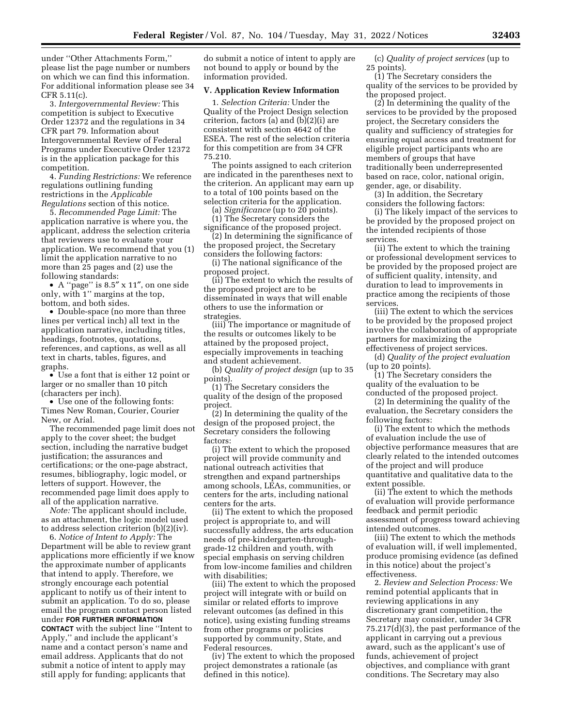under ''Other Attachments Form,'' please list the page number or numbers on which we can find this information. For additional information please see 34 CFR 5.11(c).

3. *Intergovernmental Review:* This competition is subject to Executive Order 12372 and the regulations in 34 CFR part 79. Information about Intergovernmental Review of Federal Programs under Executive Order 12372 is in the application package for this competition.

4. *Funding Restrictions:* We reference regulations outlining funding restrictions in the *Applicable Regulations* section of this notice.

5. *Recommended Page Limit:* The application narrative is where you, the applicant, address the selection criteria that reviewers use to evaluate your application. We recommend that you (1) limit the application narrative to no more than 25 pages and (2) use the following standards:

• A ''page'' is 8.5″ x 11″, on one side only, with 1'' margins at the top, bottom, and both sides.

• Double-space (no more than three lines per vertical inch) all text in the application narrative, including titles, headings, footnotes, quotations, references, and captions, as well as all text in charts, tables, figures, and graphs.

• Use a font that is either 12 point or larger or no smaller than 10 pitch (characters per inch).

• Use one of the following fonts: Times New Roman, Courier, Courier New, or Arial.

The recommended page limit does not apply to the cover sheet; the budget section, including the narrative budget justification; the assurances and certifications; or the one-page abstract, resumes, bibliography, logic model, or letters of support. However, the recommended page limit does apply to all of the application narrative.

*Note:* The applicant should include, as an attachment, the logic model used to address selection criterion (b)(2)(iv).

6. *Notice of Intent to Apply:* The Department will be able to review grant applications more efficiently if we know the approximate number of applicants that intend to apply. Therefore, we strongly encourage each potential applicant to notify us of their intent to submit an application. To do so, please email the program contact person listed under **FOR FURTHER INFORMATION CONTACT** with the subject line ''Intent to Apply,'' and include the applicant's

name and a contact person's name and email address. Applicants that do not submit a notice of intent to apply may still apply for funding; applicants that

do submit a notice of intent to apply are not bound to apply or bound by the information provided.

#### **V. Application Review Information**

1. *Selection Criteria:* Under the Quality of the Project Design selection criterion, factors (a) and  $(b)(2)(i)$  are consistent with section 4642 of the ESEA. The rest of the selection criteria for this competition are from 34 CFR 75.210.

The points assigned to each criterion are indicated in the parentheses next to the criterion. An applicant may earn up to a total of 100 points based on the selection criteria for the application.

(a) *Significance* (up to 20 points). (1) The Secretary considers the

significance of the proposed project. (2) In determining the significance of

the proposed project, the Secretary considers the following factors:

(i) The national significance of the proposed project.

(ii) The extent to which the results of the proposed project are to be disseminated in ways that will enable others to use the information or strategies.

(iii) The importance or magnitude of the results or outcomes likely to be attained by the proposed project, especially improvements in teaching and student achievement.

(b) *Quality of project design* (up to 35 points).

(1) The Secretary considers the quality of the design of the proposed project.

(2) In determining the quality of the design of the proposed project, the Secretary considers the following factors:

(i) The extent to which the proposed project will provide community and national outreach activities that strengthen and expand partnerships among schools, LEAs, communities, or centers for the arts, including national centers for the arts.

(ii) The extent to which the proposed project is appropriate to, and will successfully address, the arts education needs of pre-kindergarten-throughgrade-12 children and youth, with special emphasis on serving children from low-income families and children with disabilities;

(iii) The extent to which the proposed project will integrate with or build on similar or related efforts to improve relevant outcomes (as defined in this notice), using existing funding streams from other programs or policies supported by community, State, and Federal resources.

(iv) The extent to which the proposed project demonstrates a rationale (as defined in this notice).

(c) *Quality of project services* (up to 25 points).

(1) The Secretary considers the quality of the services to be provided by the proposed project.

(2) In determining the quality of the services to be provided by the proposed project, the Secretary considers the quality and sufficiency of strategies for ensuring equal access and treatment for eligible project participants who are members of groups that have traditionally been underrepresented based on race, color, national origin, gender, age, or disability.

(3) In addition, the Secretary considers the following factors:

(i) The likely impact of the services to be provided by the proposed project on the intended recipients of those services.

(ii) The extent to which the training or professional development services to be provided by the proposed project are of sufficient quality, intensity, and duration to lead to improvements in practice among the recipients of those services.

(iii) The extent to which the services to be provided by the proposed project involve the collaboration of appropriate partners for maximizing the effectiveness of project services.

(d) *Quality of the project evaluation*  (up to 20 points).

(1) The Secretary considers the quality of the evaluation to be conducted of the proposed project.

(2) In determining the quality of the evaluation, the Secretary considers the following factors:

(i) The extent to which the methods of evaluation include the use of objective performance measures that are clearly related to the intended outcomes of the project and will produce quantitative and qualitative data to the extent possible.

(ii) The extent to which the methods of evaluation will provide performance feedback and permit periodic assessment of progress toward achieving intended outcomes.

(iii) The extent to which the methods of evaluation will, if well implemented, produce promising evidence (as defined in this notice) about the project's effectiveness.

2. *Review and Selection Process:* We remind potential applicants that in reviewing applications in any discretionary grant competition, the Secretary may consider, under 34 CFR 75.217(d)(3), the past performance of the applicant in carrying out a previous award, such as the applicant's use of funds, achievement of project objectives, and compliance with grant conditions. The Secretary may also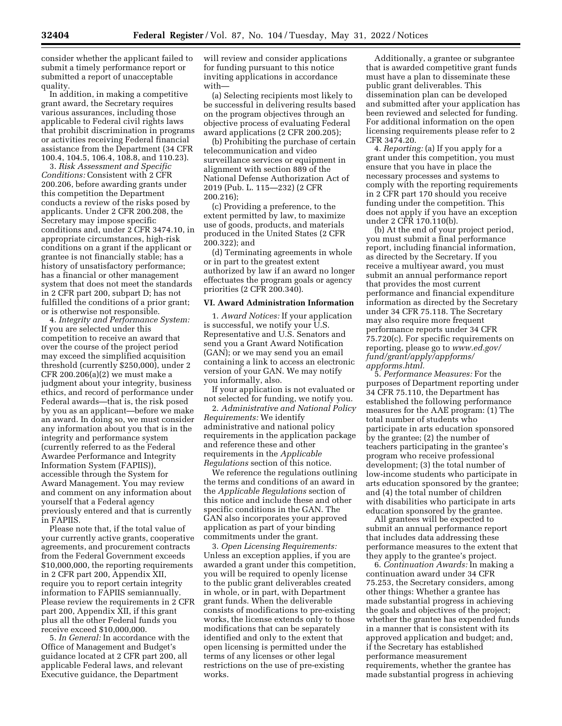consider whether the applicant failed to submit a timely performance report or submitted a report of unacceptable quality.

In addition, in making a competitive grant award, the Secretary requires various assurances, including those applicable to Federal civil rights laws that prohibit discrimination in programs or activities receiving Federal financial assistance from the Department (34 CFR 100.4, 104.5, 106.4, 108.8, and 110.23).

3. *Risk Assessment and Specific Conditions:* Consistent with 2 CFR 200.206, before awarding grants under this competition the Department conducts a review of the risks posed by applicants. Under 2 CFR 200.208, the Secretary may impose specific conditions and, under 2 CFR 3474.10, in appropriate circumstances, high-risk conditions on a grant if the applicant or grantee is not financially stable; has a history of unsatisfactory performance; has a financial or other management system that does not meet the standards in 2 CFR part 200, subpart D; has not fulfilled the conditions of a prior grant; or is otherwise not responsible.

4. *Integrity and Performance System:*  If you are selected under this competition to receive an award that over the course of the project period may exceed the simplified acquisition threshold (currently \$250,000), under 2 CFR 200.206(a)(2) we must make a judgment about your integrity, business ethics, and record of performance under Federal awards—that is, the risk posed by you as an applicant—before we make an award. In doing so, we must consider any information about you that is in the integrity and performance system (currently referred to as the Federal Awardee Performance and Integrity Information System (FAPIIS)), accessible through the System for Award Management. You may review and comment on any information about yourself that a Federal agency previously entered and that is currently in FAPIIS.

Please note that, if the total value of your currently active grants, cooperative agreements, and procurement contracts from the Federal Government exceeds \$10,000,000, the reporting requirements in 2 CFR part 200, Appendix XII, require you to report certain integrity information to FAPIIS semiannually. Please review the requirements in 2 CFR part 200, Appendix XII, if this grant plus all the other Federal funds you receive exceed \$10,000,000.

5. *In General:* In accordance with the Office of Management and Budget's guidance located at 2 CFR part 200, all applicable Federal laws, and relevant Executive guidance, the Department

will review and consider applications for funding pursuant to this notice inviting applications in accordance with—

(a) Selecting recipients most likely to be successful in delivering results based on the program objectives through an objective process of evaluating Federal award applications (2 CFR 200.205);

(b) Prohibiting the purchase of certain telecommunication and video surveillance services or equipment in alignment with section 889 of the National Defense Authorization Act of 2019 (Pub. L. 115—232) (2 CFR 200.216);

(c) Providing a preference, to the extent permitted by law, to maximize use of goods, products, and materials produced in the United States (2 CFR 200.322); and

(d) Terminating agreements in whole or in part to the greatest extent authorized by law if an award no longer effectuates the program goals or agency priorities (2 CFR 200.340).

### **VI. Award Administration Information**

1. *Award Notices:* If your application is successful, we notify your U.S. Representative and U.S. Senators and send you a Grant Award Notification (GAN); or we may send you an email containing a link to access an electronic version of your GAN. We may notify you informally, also.

If your application is not evaluated or not selected for funding, we notify you.

2. *Administrative and National Policy Requirements:* We identify administrative and national policy requirements in the application package and reference these and other requirements in the *Applicable Regulations* section of this notice.

We reference the regulations outlining the terms and conditions of an award in the *Applicable Regulations* section of this notice and include these and other specific conditions in the GAN. The GAN also incorporates your approved application as part of your binding commitments under the grant.

3. *Open Licensing Requirements:*  Unless an exception applies, if you are awarded a grant under this competition, you will be required to openly license to the public grant deliverables created in whole, or in part, with Department grant funds. When the deliverable consists of modifications to pre-existing works, the license extends only to those modifications that can be separately identified and only to the extent that open licensing is permitted under the terms of any licenses or other legal restrictions on the use of pre-existing works.

Additionally, a grantee or subgrantee that is awarded competitive grant funds must have a plan to disseminate these public grant deliverables. This dissemination plan can be developed and submitted after your application has been reviewed and selected for funding. For additional information on the open licensing requirements please refer to 2 CFR 3474.20.

4. *Reporting:* (a) If you apply for a grant under this competition, you must ensure that you have in place the necessary processes and systems to comply with the reporting requirements in 2 CFR part 170 should you receive funding under the competition. This does not apply if you have an exception under 2 CFR 170.110(b).

(b) At the end of your project period, you must submit a final performance report, including financial information, as directed by the Secretary. If you receive a multiyear award, you must submit an annual performance report that provides the most current performance and financial expenditure information as directed by the Secretary under 34 CFR 75.118. The Secretary may also require more frequent performance reports under 34 CFR 75.720(c). For specific requirements on reporting, please go to *[www.ed.gov/](http://www.ed.gov/fund/grant/apply/appforms/appforms.html) [fund/grant/apply/appforms/](http://www.ed.gov/fund/grant/apply/appforms/appforms.html) [appforms.html.](http://www.ed.gov/fund/grant/apply/appforms/appforms.html)* 

5. *Performance Measures:* For the purposes of Department reporting under 34 CFR 75.110, the Department has established the following performance measures for the AAE program: (1) The total number of students who participate in arts education sponsored by the grantee; (2) the number of teachers participating in the grantee's program who receive professional development; (3) the total number of low-income students who participate in arts education sponsored by the grantee; and (4) the total number of children with disabilities who participate in arts education sponsored by the grantee.

All grantees will be expected to submit an annual performance report that includes data addressing these performance measures to the extent that they apply to the grantee's project.

6. *Continuation Awards:* In making a continuation award under 34 CFR 75.253, the Secretary considers, among other things: Whether a grantee has made substantial progress in achieving the goals and objectives of the project; whether the grantee has expended funds in a manner that is consistent with its approved application and budget; and, if the Secretary has established performance measurement requirements, whether the grantee has made substantial progress in achieving